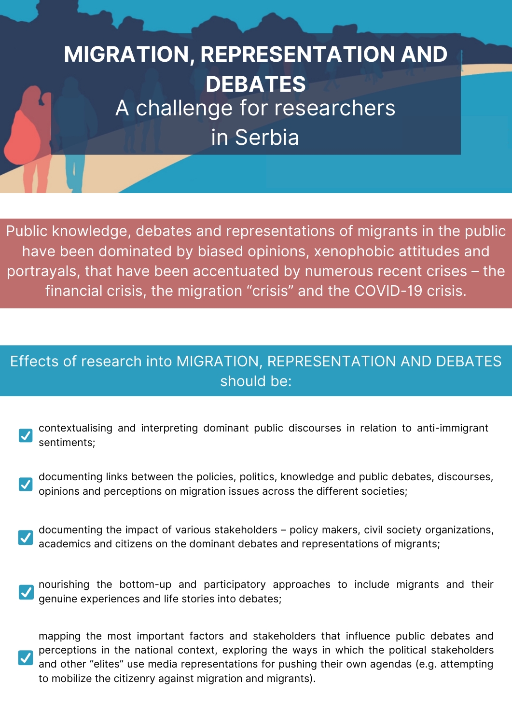## **MIGRATION, REPRESENTATION AND DEBATES** A challenge for researchers

in Serbia

Public knowledge, debates and representations of migrants in the public have been dominated by biased opinions, xenophobic attitudes and portrayals, that have been accentuated by numerous recent crises – the financial crisis, the migration "crisis" and the COVID-19 crisis.

## Effects of research into MIGRATION, REPRESENTATION AND DEBATES should be:

- contextualising and interpreting dominant public discourses in relation to anti-immigrant sentiments;
- documenting links between the policies, politics, knowledge and public debates, discourses, opinions and perceptions on migration issues across the different societies;
- documenting the impact of various stakeholders policy makers, civil society organizations, academics and citizens on the dominant debates and representations of migrants;
- nourishing the bottom-up and participatory approaches to include migrants and their genuine experiences and life stories into debates;

mapping the most important factors and stakeholders that influence public debates and perceptions in the national context, exploring the ways in which the political stakeholders and other "elites" use media representations for pushing their own agendas (e.g. attempting to mobilize the citizenry against migration and migrants).